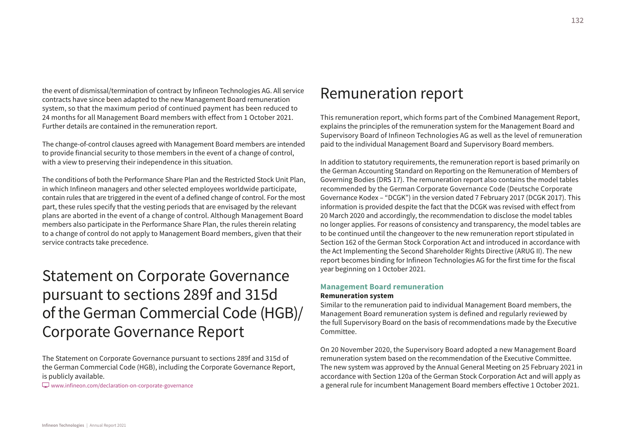the event of dismissal/termination of contract by Infineon Technologies AG. All service contracts have since been adapted to the new Management Board remuneration system, so that the maximum period of continued payment has been reduced to 24 months for all Management Board members with effect from 1 October 2021. Further details are contained in the remuneration report.

The change-of-control clauses agreed with Management Board members are intended to provide financial security to those members in the event of a change of control, with a view to preserving their independence in this situation.

The conditions of both the Performance Share Plan and the Restricted Stock Unit Plan, in which Infineon managers and other selected employees worldwide participate, contain rules that are triggered in the event of a defined change of control. For the most part, these rules specify that the vesting periods that are envisaged by the relevant plans are aborted in the event of a change of control. Although Management Board members also participate in the Performance Share Plan, the rules therein relating to a change of control do not apply to Management Board members, given that their service contracts take precedence.

# Statement on Corporate Governance pursuant to sections 289f and 315d of the German Commercial Code (HGB)/ Corporate Governance Report

The Statement on Corporate Governance pursuant to sections 289f and 315d of the German Commercial Code (HGB), including the Corporate Governance Report, is publicly available.

[w](www.infineon.com/declaration-on-corporate-governance)ww.infineon.com/declaration-on-corporate-governance

## Remuneration report

This remuneration report, which forms part of the Combined Management Report, explains the principles of the remuneration system for the Management Board and Supervisory Board of Infineon Technologies AG as well as the level of remuneration paid to the individual Management Board and Supervisory Board members.

In addition to statutory requirements, the remuneration report is based primarily on the German Accounting Standard on Reporting on the Remuneration of Members of Governing Bodies (DRS 17). The remuneration report also contains the model tables recommended by the German Corporate Governance Code (Deutsche Corporate Governance Kodex – "DCGK") in the version dated 7 February 2017 (DCGK 2017). This information is provided despite the fact that the DCGK was revised with effect from 20 March 2020 and accordingly, the recommendation to disclose the model tables no longer applies. For reasons of consistency and transparency, the model tables are to be continued until the changeover to the new remuneration report stipulated in Section 162 of the German Stock Corporation Act and introduced in accordance with the Act Implementing the Second Shareholder Rights Directive (ARUG II). The new report becomes binding for Infineon Technologies AG for the first time for the fiscal year beginning on 1 October 2021.

#### **Management Board remuneration Remuneration system**

Similar to the remuneration paid to individual Management Board members, the Management Board remuneration system is defined and regularly reviewed by the full Supervisory Board on the basis of recommendations made by the Executive Committee.

On 20 November 2020, the Supervisory Board adopted a new Management Board remuneration system based on the recommendation of the Executive Committee. The new system was approved by the Annual General Meeting on 25 February 2021 in accordance with Section 120a of the German Stock Corporation Act and will apply as a general rule for incumbent Management Board members effective 1 October 2021.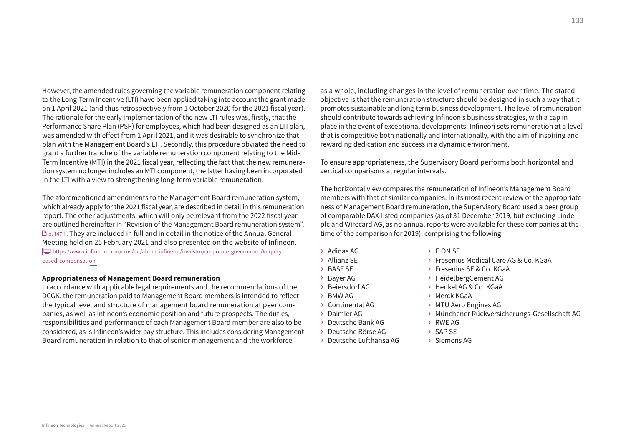However, the amended rules governing the variable remuneration component relating to the Long-Term Incentive (LTI) have been applied taking into account the grant made on 1 April 2021 (and thus retrospectively from 1 October 2020 for the 2021 fiscal year). The rationale for the early implementation of the new LTI rules was, firstly, that the Performance Share Plan (PSP) for employees, which had been designed as an LTI plan, was amended with effect from 1 April 2021, and it was desirable to synchronize that plan with the Management Board's LTI. Secondly, this procedure obviated the need to grant a further tranche of the variable remuneration component relating to the Mid-Term Incentive (MTI) in the 2021 fiscal year, reflecting the fact that the new remuneration system no longer includes an MTI component, the latter having been incorporated in the LTI with a view to strengthening long-term variable remuneration.

The aforementioned amendments to the Management Board remuneration system, which already apply for the 2021 fiscal year, are described in detail in this remuneration report. The other adjustments, which will only be relevant from the 2022 fiscal year, are outlined hereinafter in "Revision of the Management Board remuneration system", p. 147 ff. They are included in full and in detail in the notice of the Annual General Meeting held on 25 February 2021 and also presented on the website of Infineon.  $\overline{\Box}$  [https://www.infineon.com/cms/en/about-infineon/investor/corporate-governance/#equity](https://www.infineon.com/cms/en/about-infineon/investor/corporate-governance/#equity-based-compensation)[based-compensation](https://www.infineon.com/cms/en/about-infineon/investor/corporate-governance/#equity-based-compensation)

#### **Appropriateness of Management Board remuneration**

In accordance with applicable legal requirements and the recommendations of the DCGK, the remuneration paid to Management Board members is intended to reflect the typical level and structure of management board remuneration at peer companies, as well as Infineon's economic position and future prospects. The duties, responsibilities and performance of each Management Board member are also to be considered, as is Infineon's wider pay structure. This includes considering Management Board remuneration in relation to that of senior management and the workforce

as a whole, including changes in the level of remuneration over time. The stated objective is that the remuneration structure should be designed in such a way that it promotes sustainable and long-term business development. The level of remuneration should contribute towards achieving Infineon's business strategies, with a cap in place in the event of exceptional developments. Infineon sets remuneration at a level that is competitive both nationally and internationally, with the aim of inspiring and rewarding dedication and success in a dynamic environment.

To ensure appropriateness, the Supervisory Board performs both horizontal and vertical comparisons at regular intervals.

The horizontal view compares the remuneration of Infineon's Management Board members with that of similar companies. In its most recent review of the appropriateness of Management Board remuneration, the Supervisory Board used a peer group of comparable DAX-listed companies (as of 31 December 2019, but excluding Linde plc and Wirecard AG, as no annual reports were available for these companies at the time of the comparison for 2019), comprising the following:

- › Adidas AG
- › Allianz SE
- › BASF SE
- › Bayer AG
- › Beiersdorf AG
- › BMW AG
- › Continental AG
- › Daimler AG
- › Deutsche Bank AG
- › Deutsche Börse AG
- › Deutsche Lufthansa AG
- › E.ON SE
- › Fresenius Medical Care AG & Co. KGaA
- › Fresenius SE & Co. KGaA
- › HeidelbergCement AG
- › Henkel AG & Co. KGaA
- › Merck KGaA
- › MTU Aero Engines AG
- › Münchener Rückversicherungs-Gesellschaft AG
- › RWE AG
- › SAP SE
- › Siemens AG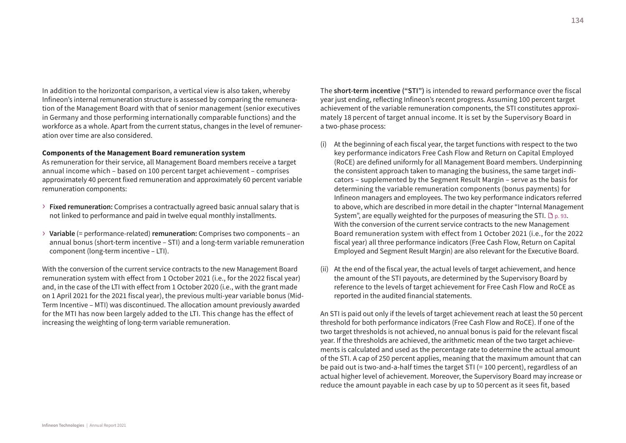In addition to the horizontal comparison, a vertical view is also taken, whereby Infineon's internal remuneration structure is assessed by comparing the remuneration of the Management Board with that of senior management (senior executives in Germany and those performing internationally comparable functions) and the workforce as a whole. Apart from the current status, changes in the level of remuneration over time are also considered.

#### **Components of the Management Board remuneration system**

As remuneration for their service, all Management Board members receive a target annual income which – based on 100 percent target achievement – comprises approximately 40 percent fixed remuneration and approximately 60 percent variable remuneration components:

- › **Fixed remuneration:** Comprises a contractually agreed basic annual salary that is not linked to performance and paid in twelve equal monthly installments.
- › **Variable** (= performance-related) **remuneration:** Comprises two components an annual bonus (short-term incentive – STI) and a long-term variable remuneration component (long-term incentive – LTI).

With the conversion of the current service contracts to the new Management Board remuneration system with effect from 1 October 2021 (i.e., for the 2022 fiscal year) and, in the case of the LTI with effect from 1 October 2020 (i.e., with the grant made on 1 April 2021 for the 2021 fiscal year), the previous multi-year variable bonus (Mid-Term Incentive – MTI) was discontinued. The allocation amount previously awarded for the MTI has now been largely added to the LTI. This change has the effect of increasing the weighting of long-term variable remuneration.

The **short-term incentive ("STI")** is intended to reward performance over the fiscal year just ending, reflecting Infineon's recent progress. Assuming 100 percent target achievement of the variable remuneration components, the STI constitutes approximately 18 percent of target annual income. It is set by the Supervisory Board in a two-phase process:

- (i) At the beginning of each fiscal year, the target functions with respect to the two key performance indicators Free Cash Flow and Return on Capital Employed (RoCE) are defined uniformly for all Management Board members. Underpinning the consistent approach taken to managing the business, the same target indicators – supplemented by the Segment Result Margin – serve as the basis for determining the variable remuneration components (bonus payments) for Infineon managers and employees. The two key performance indicators referred to above, which are described in more detail in the chapter "Internal Management System", are equally weighted for the purposes of measuring the STI.  $\Box$  p. 93. With the conversion of the current service contracts to the new Management Board remuneration system with effect from 1 October 2021 (i.e., for the 2022 fiscal year) all three performance indicators (Free Cash Flow, Return on Capital Employed and Segment Result Margin) are also relevant for the Executive Board.
- (ii) At the end of the fiscal year, the actual levels of target achievement, and hence the amount of the STI payouts, are determined by the Supervisory Board by reference to the levels of target achievement for Free Cash Flow and RoCE as reported in the audited financial statements.

An STI is paid out only if the levels of target achievement reach at least the 50 percent threshold for both performance indicators (Free Cash Flow and RoCE). If one of the two target thresholds is not achieved, no annual bonus is paid for the relevant fiscal year. If the thresholds are achieved, the arithmetic mean of the two target achievements is calculated and used as the percentage rate to determine the actual amount of the STI. A cap of 250 percent applies, meaning that the maximum amount that can be paid out is two-and-a-half times the target STI (= 100 percent), regardless of an actual higher level of achievement. Moreover, the Supervisory Board may increase or reduce the amount payable in each case by up to 50 percent as it sees fit, based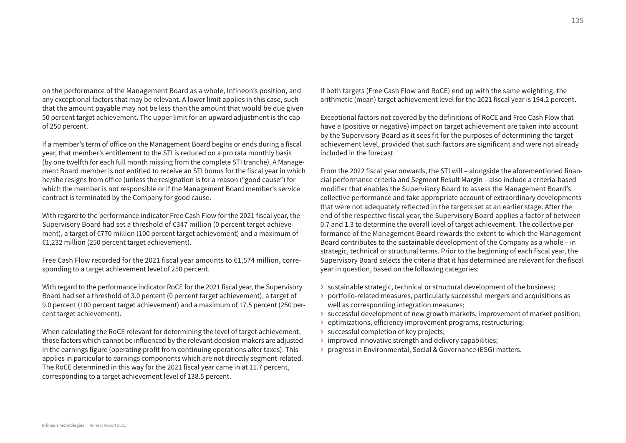on the performance of the Management Board as a whole, Infineon's position, and any exceptional factors that may be relevant. A lower limit applies in this case, such that the amount payable may not be less than the amount that would be due given 50 percent target achievement. The upper limit for an upward adjustment is the cap of 250 percent.

If a member's term of office on the Management Board begins or ends during a fiscal year, that member's entitlement to the STI is reduced on a pro rata monthly basis (by one twelfth for each full month missing from the complete STI tranche). A Management Board member is not entitled to receive an STI bonus for the fiscal year in which he/she resigns from office (unless the resignation is for a reason ("good cause") for which the member is not responsible or if the Management Board member's service contract is terminated by the Company for good cause.

With regard to the performance indicator Free Cash Flow for the 2021 fiscal year, the Supervisory Board had set a threshold of €347 million (0 percent target achievement), a target of €770 million (100 percent target achievement) and a maximum of €1,232 million (250 percent target achievement).

Free Cash Flow recorded for the 2021 fiscal year amounts to €1,574 million, corresponding to a target achievement level of 250 percent.

With regard to the performance indicator RoCE for the 2021 fiscal year, the Supervisory Board had set a threshold of 3.0 percent (0 percent target achievement), a target of 9.0 percent (100 percent target achievement) and a maximum of 17.5 percent (250 percent target achievement).

When calculating the RoCE relevant for determining the level of target achievement, those factors which cannot be influenced by the relevant decision-makers are adjusted in the earnings figure (operating profit from continuing operations after taxes). This applies in particular to earnings components which are not directly segment-related. The RoCE determined in this way for the 2021 fiscal year came in at 11.7 percent, corresponding to a target achievement level of 138.5 percent.

If both targets (Free Cash Flow and RoCE) end up with the same weighting, the arithmetic (mean) target achievement level for the 2021 fiscal year is 194.2 percent.

Exceptional factors not covered by the definitions of RoCE and Free Cash Flow that have a (positive or negative) impact on target achievement are taken into account by the Supervisory Board as it sees fit for the purposes of determining the target achievement level, provided that such factors are significant and were not already included in the forecast.

From the 2022 fiscal year onwards, the STI will – alongside the aforementioned financial performance criteria and Segment Result Margin – also include a criteria-based modifier that enables the Supervisory Board to assess the Management Board's collective performance and take appropriate account of extraordinary developments that were not adequately reflected in the targets set at an earlier stage. After the end of the respective fiscal year, the Supervisory Board applies a factor of between 0.7 and 1.3 to determine the overall level of target achievement. The collective performance of the Management Board rewards the extent to which the Management Board contributes to the sustainable development of the Company as a whole – in strategic, technical or structural terms. Prior to the beginning of each fiscal year, the Supervisory Board selects the criteria that it has determined are relevant for the fiscal year in question, based on the following categories:

- › sustainable strategic, technical or structural development of the business;
- › portfolio-related measures, particularly successful mergers and acquisitions as well as corresponding integration measures;
- › successful development of new growth markets, improvement of market position;
- › optimizations, efficiency improvement programs, restructuring;
- › successful completion of key projects;
- › improved innovative strength and delivery capabilities;
- › progress in Environmental, Social & Governance (ESG) matters.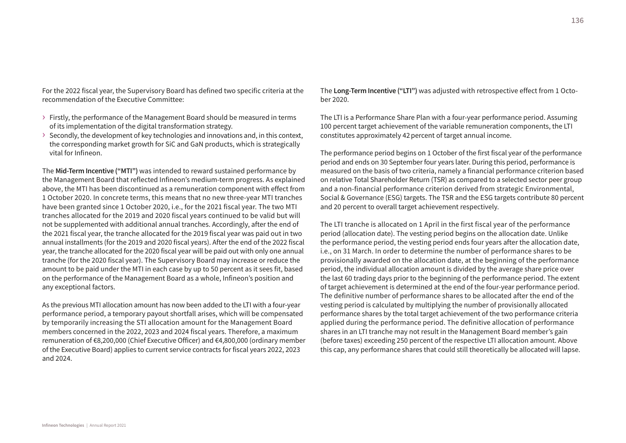For the 2022 fiscal year, the Supervisory Board has defined two specific criteria at the recommendation of the Executive Committee:

- › Firstly, the performance of the Management Board should be measured in terms of its implementation of the digital transformation strategy.
- › Secondly, the development of key technologies and innovations and, in this context, the corresponding market growth for SiC and GaN products, which is strategically vital for Infineon.

The **Mid-Term Incentive ("MTI")** was intended to reward sustained performance by the Management Board that reflected Infineon's medium-term progress. As explained above, the MTI has been discontinued as a remuneration component with effect from 1 October 2020. In concrete terms, this means that no new three-year MTI tranches have been granted since 1 October 2020, i.e., for the 2021 fiscal year. The two MTI tranches allocated for the 2019 and 2020 fiscal years continued to be valid but will not be supplemented with additional annual tranches. Accordingly, after the end of the 2021 fiscal year, the tranche allocated for the 2019 fiscal year was paid out in two annual installments (for the 2019 and 2020 fiscal years). After the end of the 2022 fiscal year, the tranche allocated for the 2020 fiscal year will be paid out with only one annual tranche (for the 2020 fiscal year). The Supervisory Board may increase or reduce the amount to be paid under the MTI in each case by up to 50 percent as it sees fit, based on the performance of the Management Board as a whole, Infineon's position and any exceptional factors.

As the previous MTI allocation amount has now been added to the LTI with a four-year performance period, a temporary payout shortfall arises, which will be compensated by temporarily increasing the STI allocation amount for the Management Board members concerned in the 2022, 2023 and 2024 fiscal years. Therefore, a maximum remuneration of €8,200,000 (Chief Executive Officer) and €4,800,000 (ordinary member of the Executive Board) applies to current service contracts for fiscal years 2022, 2023 and 2024.

The **Long-Term Incentive ("LTI")** was adjusted with retrospective effect from 1 October 2020.

The LTI is a Performance Share Plan with a four-year performance period. Assuming 100 percent target achievement of the variable remuneration components, the LTI constitutes approximately 42 percent of target annual income.

The performance period begins on 1 October of the first fiscal year of the performance period and ends on 30 September four years later. During this period, performance is measured on the basis of two criteria, namely a financial performance criterion based on relative Total Shareholder Return (TSR) as compared to a selected sector peer group and a non-financial performance criterion derived from strategic Environmental, Social & Governance (ESG) targets. The TSR and the ESG targets contribute 80 percent and 20 percent to overall target achievement respectively.

The LTI tranche is allocated on 1 April in the first fiscal year of the performance period (allocation date). The vesting period begins on the allocation date. Unlike the performance period, the vesting period ends four years after the allocation date, i.e., on 31 March. In order to determine the number of performance shares to be provisionally awarded on the allocation date, at the beginning of the performance period, the individual allocation amount is divided by the average share price over the last 60 trading days prior to the beginning of the performance period. The extent of target achievement is determined at the end of the four-year performance period. The definitive number of performance shares to be allocated after the end of the vesting period is calculated by multiplying the number of provisionally allocated performance shares by the total target achievement of the two performance criteria applied during the performance period. The definitive allocation of performance shares in an LTI tranche may not result in the Management Board member's gain (before taxes) exceeding 250 percent of the respective LTI allocation amount. Above this cap, any performance shares that could still theoretically be allocated will lapse.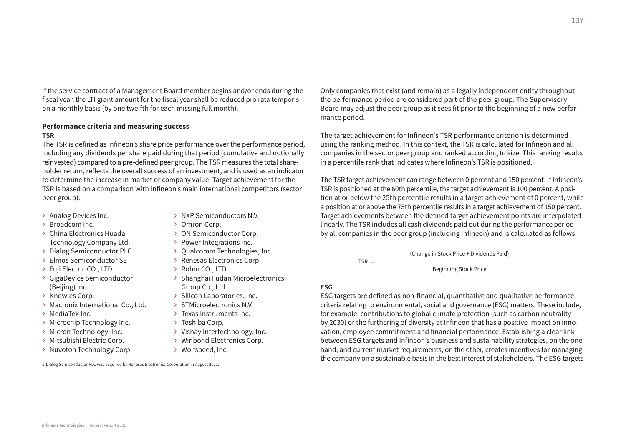If the service contract of a Management Board member begins and/or ends during the fiscal year, the LTI grant amount for the fiscal year shall be reduced pro rata temporis on a monthly basis (by one twelfth for each missing full month).

## **Performance criteria and measuring success**

#### **TSR**

The TSR is defined as Infineon's share price performance over the performance period, including any dividends per share paid during that period (cumulative and notionally reinvested) compared to a pre-defined peer group. The TSR measures the total shareholder return, reflects the overall success of an investment, and is used as an indicator to determine the increase in market or company value. Target achievement for the TSR is based on a comparison with Infineon's main international competitors (sector peer group):

- › Analog Devices Inc.
- › Broadcom Inc.
- › China Electronics Huada Technology Company Ltd.
- $\rightarrow$  Dialog Semiconductor PLC<sup>1</sup>
- › Elmos Semiconductor SE
- › Fuji Electric CO., LTD.
- › GigaDevice Semiconductor (Beijing) Inc.
- › Knowles Corp.
- › Macronix International Co., Ltd.
- › MediaTek Inc.
- › Microchip Technology Inc.
- › Micron Technology, Inc.
- › Mitsubishi Electric Corp.
- › Nuvoton Technology Corp.
- › NXP Semiconductors N.V.
- › Omron Corp.
- › ON Semiconductor Corp.
- › Power Integrations Inc.
- › Qualcomm Technologies, Inc.
- › Renesas Electronics Corp.
- › Rohm CO., LTD.
- › Shanghai Fudan Microelectronics Group Co., Ltd.
- › Silicon Laboratories, Inc.
- › STMicroelectronics N.V.
- › Texas Instruments Inc.
- › Toshiba Corp.
- › Vishay Intertechnology, Inc.
- › Winbond Electronics Corp.
- › Wolfspeed, Inc.

1 Dialog Semiconductor PLC was acquired by Renesas Electronics Corporation in August 2021.

Only companies that exist (and remain) as a legally independent entity throughout the performance period are considered part of the peer group. The Supervisory Board may adjust the peer group as it sees fit prior to the beginning of a new performance period.

The target achievement for Infineon's TSR performance criterion is determined using the ranking method. In this context, the TSR is calculated for Infineon and all companies in the sector peer group and ranked according to size. This ranking results in a percentile rank that indicates where Infineon's TSR is positioned.

The TSR target achievement can range between 0 percent and 150 percent. If Infineon's TSR is positioned at the 60th percentile, the target achievement is 100 percent. A position at or below the 25th percentile results in a target achievement of 0 percent, while a position at or above the 75th percentile results in a target achievement of 150 percent. Target achievements between the defined target achievement points are interpolated linearly. The TSR includes all cash dividends paid out during the performance period by all companies in the peer group (including Infineon) and is calculated as follows:

(Change in Stock Price + Dividends Paid)

Beginning Stock Price

## **ESG**

 $TSR = -$ 

ESG targets are defined as non-financial, quantitative and qualitative performance criteria relating to environmental, social and governance (ESG) matters. These include, for example, contributions to global climate protection (such as carbon neutrality by 2030) or the furthering of diversity at Infineon that has a positive impact on innovation, employee commitment and financial performance. Establishing a clear link between ESG targets and Infineon's business and sustainability strategies, on the one hand, and current market requirements, on the other, creates incentives for managing the company on a sustainable basis in the best interest of stakeholders. The ESG targets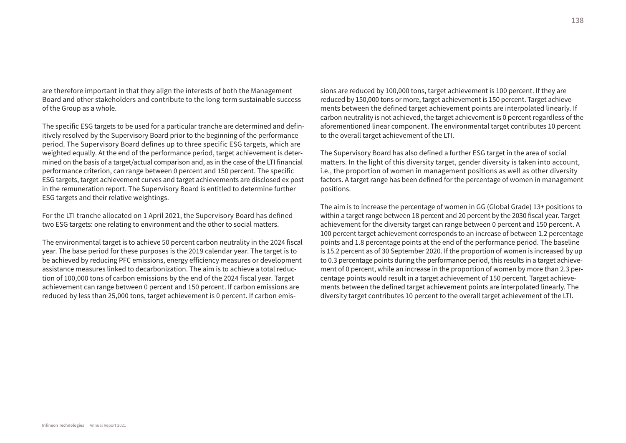are therefore important in that they align the interests of both the Management Board and other stakeholders and contribute to the long-term sustainable success of the Group as a whole.

The specific ESG targets to be used for a particular tranche are determined and definitively resolved by the Supervisory Board prior to the beginning of the performance period. The Supervisory Board defines up to three specific ESG targets, which are weighted equally. At the end of the performance period, target achievement is determined on the basis of a target/actual comparison and, as in the case of the LTI financial performance criterion, can range between 0 percent and 150 percent. The specific ESG targets, target achievement curves and target achievements are disclosed ex post in the remuneration report. The Supervisory Board is entitled to determine further ESG targets and their relative weightings.

For the LTI tranche allocated on 1 April 2021, the Supervisory Board has defined two ESG targets: one relating to environment and the other to social matters.

The environmental target is to achieve 50 percent carbon neutrality in the 2024 fiscal year. The base period for these purposes is the 2019 calendar year. The target is to be achieved by reducing PFC emissions, energy efficiency measures or development assistance measures linked to decarbonization. The aim is to achieve a total reduction of 100,000 tons of carbon emissions by the end of the 2024 fiscal year. Target achievement can range between 0 percent and 150 percent. If carbon emissions are reduced by less than 25,000 tons, target achievement is 0 percent. If carbon emissions are reduced by 100,000 tons, target achievement is 100 percent. If they are reduced by 150,000 tons or more, target achievement is 150 percent. Target achievements between the defined target achievement points are interpolated linearly. If carbon neutrality is not achieved, the target achievement is 0 percent regardless of the aforementioned linear component. The environmental target contributes 10 percent to the overall target achievement of the LTI.

The Supervisory Board has also defined a further ESG target in the area of social matters. In the light of this diversity target, gender diversity is taken into account, i.e., the proportion of women in management positions as well as other diversity factors. A target range has been defined for the percentage of women in management positions.

The aim is to increase the percentage of women in GG (Global Grade) 13+ positions to within a target range between 18 percent and 20 percent by the 2030 fiscal year. Target achievement for the diversity target can range between 0 percent and 150 percent. A 100 percent target achievement corresponds to an increase of between 1.2 percentage points and 1.8 percentage points at the end of the performance period. The baseline is 15.2 percent as of 30 September 2020. If the proportion of women is increased by up to 0.3 percentage points during the performance period, this results in a target achievement of 0 percent, while an increase in the proportion of women by more than 2.3 percentage points would result in a target achievement of 150 percent. Target achievements between the defined target achievement points are interpolated linearly. The diversity target contributes 10 percent to the overall target achievement of the LTI.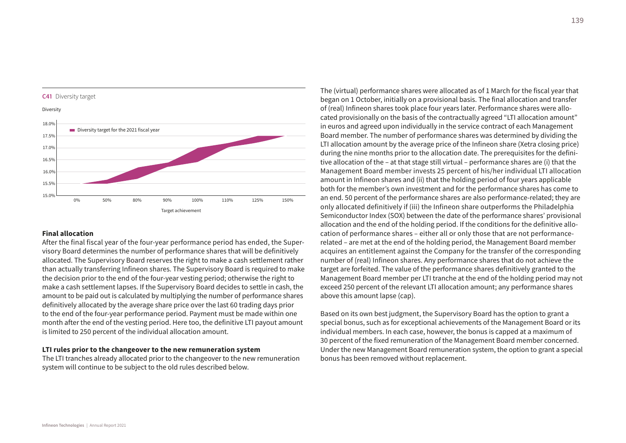

## **Final allocation**

After the final fiscal year of the four-year performance period has ended, the Supervisory Board determines the number of performance shares that will be definitively allocated. The Supervisory Board reserves the right to make a cash settlement rather than actually transferring Infineon shares. The Supervisory Board is required to make the decision prior to the end of the four-year vesting period; otherwise the right to make a cash settlement lapses. If the Supervisory Board decides to settle in cash, the amount to be paid out is calculated by multiplying the number of performance shares definitively allocated by the average share price over the last 60 trading days prior to the end of the four-year performance period. Payment must be made within one month after the end of the vesting period. Here too, the definitive LTI payout amount is limited to 250 percent of the individual allocation amount.

#### **LTI rules prior to the changeover to the new remuneration system**

The LTI tranches already allocated prior to the changeover to the new remuneration system will continue to be subject to the old rules described below.

The (virtual) performance shares were allocated as of 1 March for the fiscal year that began on 1 October, initially on a provisional basis. The final allocation and transfer of (real) Infineon shares took place four years later. Performance shares were allocated provisionally on the basis of the contractually agreed "LTI allocation amount" in euros and agreed upon individually in the service contract of each Management Board member. The number of performance shares was determined by dividing the LTI allocation amount by the average price of the Infineon share (Xetra closing price) during the nine months prior to the allocation date. The prerequisites for the definitive allocation of the – at that stage still virtual – performance shares are (i) that the Management Board member invests 25 percent of his/her individual LTI allocation amount in Infineon shares and (ii) that the holding period of four years applicable both for the member's own investment and for the performance shares has come to an end. 50 percent of the performance shares are also performance-related; they are only allocated definitively if (iii) the Infineon share outperforms the Philadelphia Semiconductor Index (SOX) between the date of the performance shares' provisional allocation and the end of the holding period. If the conditions for the definitive allocation of performance shares – either all or only those that are not performancerelated – are met at the end of the holding period, the Management Board member acquires an entitlement against the Company for the transfer of the corresponding number of (real) Infineon shares. Any performance shares that do not achieve the target are forfeited. The value of the performance shares definitively granted to the Management Board member per LTI tranche at the end of the holding period may not exceed 250 percent of the relevant LTI allocation amount; any performance shares above this amount lapse (cap).

Based on its own best judgment, the Supervisory Board has the option to grant a special bonus, such as for exceptional achievements of the Management Board or its individual members. In each case, however, the bonus is capped at a maximum of 30 percent of the fixed remuneration of the Management Board member concerned. Under the new Management Board remuneration system, the option to grant a special bonus has been removed without replacement.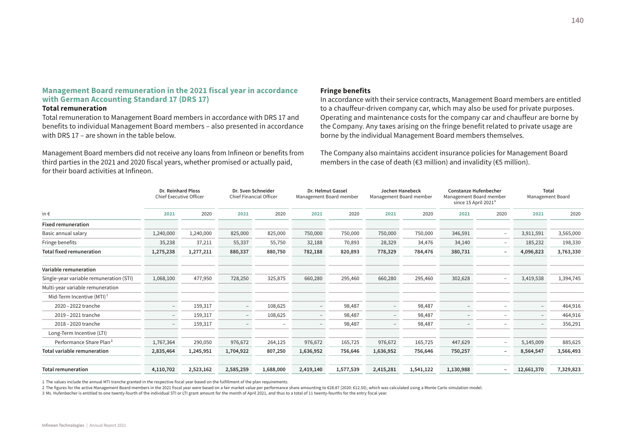## **Management Board remuneration in the 2021 fiscal year in accordance with German Accounting Standard 17 (DRS 17)**

#### **Total remuneration**

Total remuneration to Management Board members in accordance with DRS 17 and benefits to individual Management Board members – also presented in accordance with DRS 17 – are shown in the table below.

Management Board members did not receive any loans from Infineon or benefits from third parties in the 2021 and 2020 fiscal years, whether promised or actually paid, for their board activities at Infineon.

#### **Fringe benefits**

In accordance with their service contracts, Management Board members are entitled to a chauffeur-driven company car, which may also be used for private purposes. Operating and maintenance costs for the company car and chauffeur are borne by the Company. Any taxes arising on the fringe benefit related to private usage are borne by the individual Management Board members themselves.

The Company also maintains accident insurance policies for Management Board members in the case of death (€3 million) and invalidity (€5 million).

|                                         | <b>Dr. Reinhard Ploss</b><br><b>Chief Executive Officer</b> |           | Dr. Sven Schneider<br>Chief Financial Officer |           | Dr. Helmut Gassel<br>Management Board member |           | Management Board member  | <b>Jochen Hanebeck</b> | <b>Constanze Hufenbecher</b><br>Management Board member<br>since 15 April 2021 <sup>3</sup> |                          | Total<br>Management Board |           |
|-----------------------------------------|-------------------------------------------------------------|-----------|-----------------------------------------------|-----------|----------------------------------------------|-----------|--------------------------|------------------------|---------------------------------------------------------------------------------------------|--------------------------|---------------------------|-----------|
| in $\epsilon$                           | 2021                                                        | 2020      | 2021                                          | 2020      | 2021                                         | 2020      | 2021                     | 2020                   | 2021                                                                                        | 2020                     | 2021                      | 2020      |
| <b>Fixed remuneration</b>               |                                                             |           |                                               |           |                                              |           |                          |                        |                                                                                             |                          |                           |           |
| Basic annual salary                     | 1,240,000                                                   | 1,240,000 | 825,000                                       | 825,000   | 750,000                                      | 750,000   | 750,000                  | 750,000                | 346,591                                                                                     | -                        | 3,911,591                 | 3,565,000 |
| Fringe benefits                         | 35,238                                                      | 37,211    | 55,337                                        | 55,750    | 32,188                                       | 70,893    | 28,329                   | 34,476                 | 34,140                                                                                      | $\overline{\phantom{0}}$ | 185,232                   | 198,330   |
| <b>Total fixed remuneration</b>         | 1,275,238                                                   | 1,277,211 | 880,337                                       | 880,750   | 782,188                                      | 820,893   | 778,329                  | 784,476                | 380,731                                                                                     | -                        | 4,096,823                 | 3,763,330 |
| Variable remuneration                   |                                                             |           |                                               |           |                                              |           |                          |                        |                                                                                             |                          |                           |           |
| Single-year variable remuneration (STI) | 1,068,100                                                   | 477,950   | 728,250                                       | 325,875   | 660,280                                      | 295,460   | 660,280                  | 295,460                | 302,628                                                                                     | $\overline{\phantom{0}}$ | 3,419,538                 | 1,394,745 |
| Multi-year variable remuneration        |                                                             |           |                                               |           |                                              |           |                          |                        |                                                                                             |                          |                           |           |
| Mid-Term Incentive (MTI) <sup>1</sup>   |                                                             |           |                                               |           |                                              |           |                          |                        |                                                                                             |                          |                           |           |
| 2020 - 2022 tranche                     | $\overline{\phantom{a}}$                                    | 159,317   | $\overline{\phantom{a}}$                      | 108,625   | $\overline{\phantom{a}}$                     | 98,487    | $\overline{\phantom{0}}$ | 98,487                 |                                                                                             | -                        |                           | 464,916   |
| 2019-2021 tranche                       | $ \,$                                                       | 159,317   | $\overline{\phantom{a}}$                      | 108,625   | $ \,$                                        | 98,487    | $ \,$                    | 98,487                 | $\overline{\phantom{0}}$                                                                    | -                        | $\overline{\phantom{a}}$  | 464,916   |
| 2018 - 2020 tranche                     | $\sim$                                                      | 159,317   | $\sim$                                        |           | $\overline{\phantom{a}}$                     | 98,487    | $\overline{\phantom{0}}$ | 98,487                 |                                                                                             | -                        |                           | 356,291   |
| Long-Term Incentive (LTI)               |                                                             |           |                                               |           |                                              |           |                          |                        |                                                                                             |                          |                           |           |
| Performance Share Plan <sup>2</sup>     | 1,767,364                                                   | 290,050   | 976,672                                       | 264,125   | 976,672                                      | 165,725   | 976,672                  | 165,725                | 447,629                                                                                     | -                        | 5,145,009                 | 885,625   |
| <b>Total variable remuneration</b>      | 2,835,464                                                   | 1,245,951 | 1,704,922                                     | 807,250   | 1,636,952                                    | 756,646   | 1,636,952                | 756,646                | 750,257                                                                                     | -                        | 8,564,547                 | 3,566,493 |
| <b>Total remuneration</b>               | 4,110,702                                                   | 2,523,162 | 2,585,259                                     | 1,688,000 | 2,419,140                                    | 1,577,539 | 2,415,281                | 1,541,122              | 1,130,988                                                                                   |                          | 12,661,370                | 7,329,823 |

1 The values include the annual MTI tranche granted in the respective fiscal year based on the fulfillment of the plan requirements.

2 The figures for the active Management Board members in the 2021 fiscal year were based on a fair market value per performance share amounting to €28.87 (2020: €12.50), which was calculated using a Monte Carlo simulation

3 Ms. Hufenbecher is entitled to one twenty-fourth of the individual STI or LTI grant amount for the month of April 2021, and thus to a total of 11 twenty-fourths for the entry fiscal year.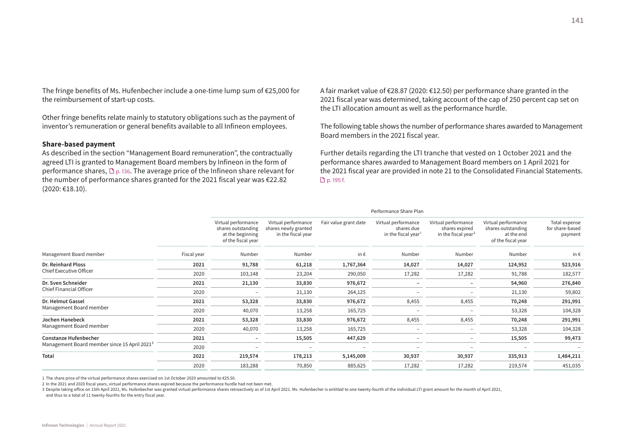**Infineon Technologies** | Annual Report 2021

The fringe benefits of Ms. Hufenbecher include a one-time lump sum of €25,000 for the reimbursement of start-up costs.

Other fringe benefits relate mainly to statutory obligations such as the payment of inventor's remuneration or general benefits available to all Infineon employees.

#### **Share-based payment**

As described in the section "Management Board remuneration", the contractually agreed LTI is granted to Management Board members by Infineon in the form of performance shares,  $\mathbb{D}_{p.}$  136. The average price of the Infineon share relevant for the number of performance shares granted for the 2021 fiscal year was €22.82 (2020: €18.10).

A fair market value of €28.87 (2020: €12.50) per performance share granted in the 2021 fiscal year was determined, taking account of the cap of 250 percent cap set on the LTI allocation amount as well as the performance hurdle.

The following table shows the number of performance shares awarded to Management Board members in the 2021 fiscal year.

Further details regarding the LTI tranche that vested on 1 October 2021 and the performance shares awarded to Management Board members on 1 April 2021 for the 2021 fiscal year are provided in note 21 to the Consolidated Financial Statements. **D** p. 195 f.

|                                                          |             |                                                                                     |                                                                   |                       | Performance Share Plan                                               |                                                                          |                                                                               |                                             |
|----------------------------------------------------------|-------------|-------------------------------------------------------------------------------------|-------------------------------------------------------------------|-----------------------|----------------------------------------------------------------------|--------------------------------------------------------------------------|-------------------------------------------------------------------------------|---------------------------------------------|
|                                                          |             | Virtual performance<br>shares outstanding<br>at the beginning<br>of the fiscal year | Virtual performance<br>shares newly granted<br>in the fiscal year | Fair value grant date | Virtual performance<br>shares due<br>in the fiscal year <sup>1</sup> | Virtual performance<br>shares expired<br>in the fiscal year <sup>2</sup> | Virtual performance<br>shares outstanding<br>at the end<br>of the fiscal year | Total expense<br>for share-based<br>payment |
| Management Board member                                  | Fiscal year | Number                                                                              | Number                                                            | in€                   | Number                                                               | Number                                                                   | Number                                                                        | in€                                         |
| <b>Dr. Reinhard Ploss</b>                                | 2021        | 91,788                                                                              | 61,218                                                            | 1,767,364             | 14,027                                                               | 14,027                                                                   | 124,952                                                                       | 523,916                                     |
| Chief Executive Officer                                  | 2020        | 103,148                                                                             | 23,204                                                            | 290,050               | 17,282                                                               | 17,282                                                                   | 91,788                                                                        | 182,577                                     |
| Dr. Sven Schneider                                       | 2021        | 21,130                                                                              | 33,830                                                            | 976,672               |                                                                      |                                                                          | 54,960                                                                        | 276,840                                     |
| <b>Chief Financial Officer</b>                           | 2020        |                                                                                     | 21,130                                                            | 264,125               |                                                                      |                                                                          | 21,130                                                                        | 59,802                                      |
| Dr. Helmut Gassel                                        | 2021        | 53,328                                                                              | 33,830                                                            | 976,672               | 8,455                                                                | 8,455                                                                    | 70,248                                                                        | 291,991                                     |
| Management Board member                                  | 2020        | 40,070                                                                              | 13,258                                                            | 165,725               |                                                                      |                                                                          | 53,328                                                                        | 104,328                                     |
| Jochen Hanebeck                                          | 2021        | 53,328                                                                              | 33,830                                                            | 976,672               | 8,455                                                                | 8,455                                                                    | 70,248                                                                        | 291,991                                     |
| Management Board member                                  | 2020        | 40,070                                                                              | 13,258                                                            | 165,725               |                                                                      |                                                                          | 53,328                                                                        | 104,328                                     |
| <b>Constanze Hufenbecher</b>                             | 2021        |                                                                                     | 15,505                                                            | 447,629               |                                                                      |                                                                          | 15,505                                                                        | 99,473                                      |
| Management Board member since 15 April 2021 <sup>3</sup> | 2020        |                                                                                     |                                                                   |                       |                                                                      |                                                                          |                                                                               |                                             |
| Total                                                    | 2021        | 219,574                                                                             | 178,213                                                           | 5,145,009             | 30,937                                                               | 30,937                                                                   | 335,913                                                                       | 1,484,211                                   |
|                                                          | 2020        | 183,288                                                                             | 70,850                                                            | 885,625               | 17,282                                                               | 17,282                                                                   | 219,574                                                                       | 451,035                                     |
|                                                          |             |                                                                                     |                                                                   |                       |                                                                      |                                                                          |                                                                               |                                             |

1 The share price of the virtual performance shares exercised on 1st October 2020 amounted to €25.50.

2 In the 2021 and 2020 fiscal years, virtual performance shares expired because the performance hurdle had not been met.

3 Despite taking office on 15th April 2021, Ms. Hufenbecher was granted virtual performance shares retroactively as of 1st April 2021. Ms. Hufenbecher is entitled to one twenty-fourth of the individual LTI grant amount for

and thus to a total of 11 twenty-fourths for the entry fiscal year.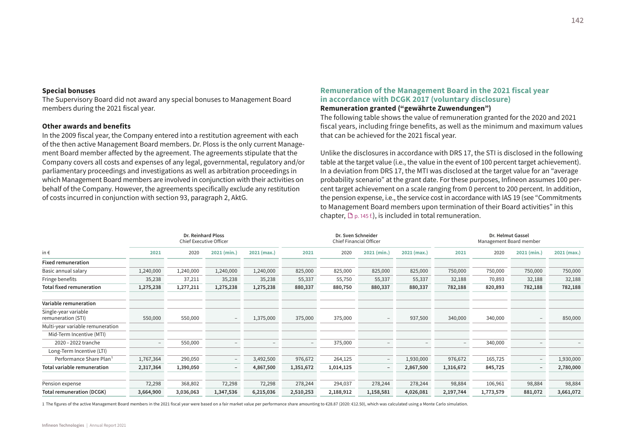#### **Special bonuses**

The Supervisory Board did not award any special bonuses to Management Board members during the 2021 fiscal year.

#### **Other awards and benefits**

In the 2009 fiscal year, the Company entered into a restitution agreement with each of the then active Management Board members. Dr. Ploss is the only current Management Board member affected by the agreement. The agreements stipulate that the Company covers all costs and expenses of any legal, governmental, regulatory and/or parliamentary proceedings and investigations as well as arbitration proceedings in which Management Board members are involved in conjunction with their activities on behalf of the Company. However, the agreements specifically exclude any restitution of costs incurred in conjunction with section 93, paragraph 2, AktG.

## **Remuneration of the Management Board in the 2021 fiscal year in accordance with DCGK 2017 (voluntary disclosure)**

## **Remuneration granted ("gewährte Zuwendungen")**

The following table shows the value of remuneration granted for the 2020 and 2021 fiscal years, including fringe benefits, as well as the minimum and maximum values that can be achieved for the 2021 fiscal year.

Unlike the disclosures in accordance with DRS 17, the STI is disclosed in the following table at the target value (i.e., the value in the event of 100 percent target achievement). In a deviation from DRS 17, the MTI was disclosed at the target value for an "average probability scenario" at the grant date. For these purposes, Infineon assumes 100 percent target achievement on a scale ranging from 0 percent to 200 percent. In addition, the pension expense, i.e., the service cost in accordance with IAS 19 (see "Commitments to Management Board members upon termination of their Board activities" in this chapter,  $\mathbb{D}_{p. 145 f.}$ ), is included in total remuneration.

|                                            |           | Dr. Reinhard Ploss<br>Chief Executive Officer |                          |             |           | Dr. Sven Schneider<br>Chief Financial Officer |                   |             |           | Dr. Helmut Gassel<br>Management Board member |                          |             |
|--------------------------------------------|-----------|-----------------------------------------------|--------------------------|-------------|-----------|-----------------------------------------------|-------------------|-------------|-----------|----------------------------------------------|--------------------------|-------------|
| in $\epsilon$                              | 2021      | 2020                                          | 2021 (min.)              | 2021 (max.) | 2021      | 2020                                          | 2021 (min.)       | 2021 (max.) | 2021      | 2020                                         | 2021 (min.)              | 2021 (max.) |
| <b>Fixed remuneration</b>                  |           |                                               |                          |             |           |                                               |                   |             |           |                                              |                          |             |
| Basic annual salary                        | 1,240,000 | 1,240,000                                     | 1,240,000                | 1,240,000   | 825,000   | 825,000                                       | 825,000           | 825,000     | 750,000   | 750,000                                      | 750,000                  | 750,000     |
| Fringe benefits                            | 35,238    | 37,211                                        | 35,238                   | 35,238      | 55,337    | 55,750                                        | 55,337            | 55,337      | 32,188    | 70,893                                       | 32,188                   | 32,188      |
| <b>Total fixed remuneration</b>            | 1,275,238 | 1,277,211                                     | 1,275,238                | 1,275,238   | 880,337   | 880,750                                       | 880,337           | 880,337     | 782,188   | 820,893                                      | 782,188                  | 782,188     |
| Variable remuneration                      |           |                                               |                          |             |           |                                               |                   |             |           |                                              |                          |             |
| Single-year variable<br>remuneration (STI) | 550,000   | 550,000                                       | $-$                      | 1,375,000   | 375,000   | 375,000                                       | $\qquad \qquad -$ | 937,500     | 340,000   | 340,000                                      | $\qquad \qquad -$        | 850,000     |
| Multi-year variable remuneration           |           |                                               |                          |             |           |                                               |                   |             |           |                                              |                          |             |
| Mid-Term Incentive (MTI)                   |           |                                               |                          |             |           |                                               |                   |             |           |                                              |                          |             |
| 2020 - 2022 tranche                        | $-$       | 550,000                                       |                          |             |           | 375,000                                       |                   |             | $-$       | 340,000                                      |                          |             |
| Long-Term Incentive (LTI)                  |           |                                               |                          |             |           |                                               |                   |             |           |                                              |                          |             |
| Performance Share Plan <sup>1</sup>        | 1,767,364 | 290,050                                       | $\overline{\phantom{m}}$ | 3,492,500   | 976,672   | 264,125                                       | $-$               | 1,930,000   | 976,672   | 165,725                                      | $\qquad \qquad -$        | 1,930,000   |
| <b>Total variable remuneration</b>         | 2,317,364 | 1,390,050                                     | $-$                      | 4,867,500   | 1,351,672 | 1,014,125                                     | $-$               | 2,867,500   | 1,316,672 | 845,725                                      | $\overline{\phantom{0}}$ | 2,780,000   |
| Pension expense                            | 72,298    | 368,802                                       | 72,298                   | 72,298      | 278,244   | 294,037                                       | 278,244           | 278,244     | 98,884    | 106,961                                      | 98,884                   | 98,884      |
| <b>Total remuneration (DCGK)</b>           | 3,664,900 | 3,036,063                                     | 1,347,536                | 6,215,036   | 2,510,253 | 2,188,912                                     | 1,158,581         | 4,026,081   | 2,197,744 | 1,773,579                                    | 881,072                  | 3,661,072   |

1 The figures of the active Management Board members in the 2021 fiscal year were based on a fair market value per performance share amounting to €28.87 (2020: €12.50), which was calculated using a Monte Carlo simulation.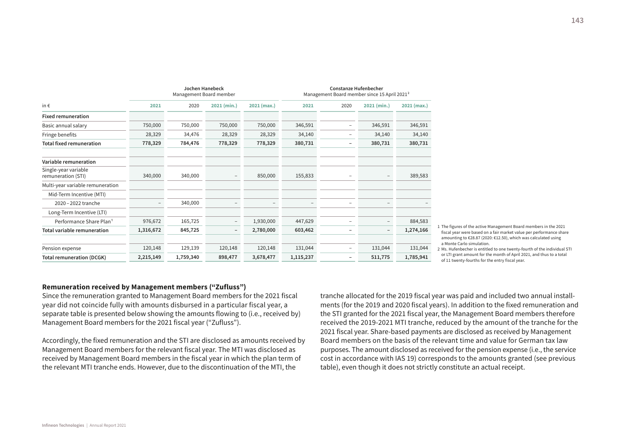|                                            |           | <b>Jochen Hanebeck</b><br>Management Board member |                          |             | <b>Constanze Hufenbecher</b><br>Management Board member since 15 April 2021 <sup>2</sup> |                          |                          |             |  |
|--------------------------------------------|-----------|---------------------------------------------------|--------------------------|-------------|------------------------------------------------------------------------------------------|--------------------------|--------------------------|-------------|--|
| in $\epsilon$                              | 2021      | 2020                                              | 2021 (min.)              | 2021 (max.) | 2021                                                                                     | 2020                     | 2021 (min.)              | 2021 (max.) |  |
| <b>Fixed remuneration</b>                  |           |                                                   |                          |             |                                                                                          |                          |                          |             |  |
| Basic annual salary                        | 750,000   | 750,000                                           | 750,000                  | 750,000     | 346,591                                                                                  | $\overline{\phantom{a}}$ | 346,591                  | 346,591     |  |
| Fringe benefits                            | 28,329    | 34,476                                            | 28,329                   | 28,329      | 34,140                                                                                   | $\overline{\phantom{0}}$ | 34,140                   | 34,140      |  |
| <b>Total fixed remuneration</b>            | 778,329   | 784,476                                           | 778,329                  | 778,329     | 380,731                                                                                  | -                        | 380,731                  | 380,731     |  |
| Variable remuneration                      |           |                                                   |                          |             |                                                                                          |                          |                          |             |  |
| Single-year variable<br>remuneration (STI) | 340,000   | 340,000                                           | $\overline{\phantom{0}}$ | 850,000     | 155,833                                                                                  | $\qquad \qquad$          | $\qquad \qquad -$        | 389,583     |  |
| Multi-year variable remuneration           |           |                                                   |                          |             |                                                                                          |                          |                          |             |  |
| Mid-Term Incentive (MTI)                   |           |                                                   |                          |             |                                                                                          |                          |                          |             |  |
| 2020 - 2022 tranche                        |           | 340,000                                           |                          |             |                                                                                          | $\overline{\phantom{a}}$ | -                        |             |  |
| Long-Term Incentive (LTI)                  |           |                                                   |                          |             |                                                                                          |                          |                          |             |  |
| Performance Share Plan <sup>1</sup>        | 976,672   | 165,725                                           | $\overline{\phantom{a}}$ | 1,930,000   | 447,629                                                                                  | $\overline{\phantom{a}}$ | $\overline{\phantom{a}}$ | 884,583     |  |
| <b>Total variable remuneration</b>         | 1,316,672 | 845,725                                           | $\overline{\phantom{a}}$ | 2,780,000   | 603,462                                                                                  | -                        | $\overline{\phantom{a}}$ | 1,274,166   |  |
| Pension expense                            | 120,148   | 129,139                                           | 120,148                  | 120,148     | 131,044                                                                                  | $\overline{\phantom{a}}$ | 131,044                  | 131,044     |  |
| <b>Total remuneration (DCGK)</b>           | 2,215,149 | 1,759,340                                         | 898,477                  | 3,678,477   | 1,115,237                                                                                | -                        | 511,775                  | 1,785,941   |  |

1 The figures of the active Management Board members in the 2021 fiscal year were based on a fair market value per performance share amounting to €28.87 (2020: €12.50), which was calculated using a Monte Carlo simulation.

2 Ms. Hufenbecher is entitled to one twenty-fourth of the individual STI or LTI grant amount for the month of April 2021, and thus to a total of 11 twenty-fourths for the entry fiscal year.

#### **Remuneration received by Management members ("Zufluss")**

Since the remuneration granted to Management Board members for the 2021 fiscal year did not coincide fully with amounts disbursed in a particular fiscal year, a separate table is presented below showing the amounts flowing to (i.e., received by) Management Board members for the 2021 fiscal year ("Zufluss").

Accordingly, the fixed remuneration and the STI are disclosed as amounts received by Management Board members for the relevant fiscal year. The MTI was disclosed as received by Management Board members in the fiscal year in which the plan term of the relevant MTI tranche ends. However, due to the discontinuation of the MTI, the

tranche allocated for the 2019 fiscal year was paid and included two annual installments (for the 2019 and 2020 fiscal years). In addition to the fixed remuneration and the STI granted for the 2021 fiscal year, the Management Board members therefore received the 2019-2021 MTI tranche, reduced by the amount of the tranche for the 2021 fiscal year. Share-based payments are disclosed as received by Management Board members on the basis of the relevant time and value for German tax law purposes. The amount disclosed as received for the pension expense (i.e., the service cost in accordance with IAS 19) corresponds to the amounts granted (see previous table), even though it does not strictly constitute an actual receipt.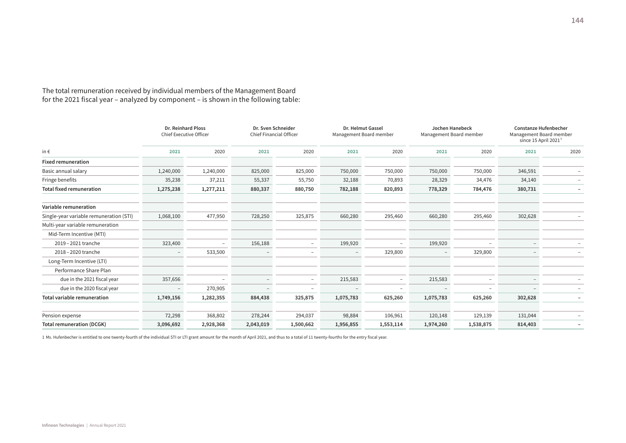The total remuneration received by individual members of the Management Board for the 2021 fiscal year – analyzed by component – is shown in the following table:

|                                         | Dr. Reinhard Ploss<br><b>Chief Executive Officer</b> |                          | Dr. Sven Schneider<br><b>Chief Financial Officer</b> |                          | Dr. Helmut Gassel<br>Management Board member |           | Jochen Hanebeck<br>Management Board member |           | <b>Constanze Hufenbecher</b><br>Management Board member<br>since 15 April 2021 <sup>1</sup> |                          |
|-----------------------------------------|------------------------------------------------------|--------------------------|------------------------------------------------------|--------------------------|----------------------------------------------|-----------|--------------------------------------------|-----------|---------------------------------------------------------------------------------------------|--------------------------|
| in $\epsilon$                           | 2021                                                 | 2020                     | 2021                                                 | 2020                     | 2021                                         | 2020      | 2021                                       | 2020      | 2021                                                                                        | 2020                     |
| <b>Fixed remuneration</b>               |                                                      |                          |                                                      |                          |                                              |           |                                            |           |                                                                                             |                          |
| Basic annual salary                     | 1,240,000                                            | 1,240,000                | 825,000                                              | 825,000                  | 750,000                                      | 750,000   | 750,000                                    | 750,000   | 346,591                                                                                     | $\overline{\phantom{a}}$ |
| Fringe benefits                         | 35,238                                               | 37,211                   | 55,337                                               | 55,750                   | 32,188                                       | 70,893    | 28,329                                     | 34,476    | 34,140                                                                                      | -                        |
| <b>Total fixed remuneration</b>         | 1,275,238                                            | 1,277,211                | 880,337                                              | 880,750                  | 782,188                                      | 820,893   | 778,329                                    | 784,476   | 380,731                                                                                     | -                        |
| Variable remuneration                   |                                                      |                          |                                                      |                          |                                              |           |                                            |           |                                                                                             |                          |
| Single-year variable remuneration (STI) | 1,068,100                                            | 477,950                  | 728,250                                              | 325,875                  | 660,280                                      | 295,460   | 660,280                                    | 295,460   | 302,628                                                                                     |                          |
| Multi-year variable remuneration        |                                                      |                          |                                                      |                          |                                              |           |                                            |           |                                                                                             |                          |
| Mid-Term Incentive (MTI)                |                                                      |                          |                                                      |                          |                                              |           |                                            |           |                                                                                             |                          |
| 2019 - 2021 tranche                     | 323,400                                              | $\overline{\phantom{0}}$ | 156,188                                              | -                        | 199,920                                      |           | 199,920                                    |           |                                                                                             |                          |
| 2018-2020 tranche                       |                                                      | 533,500                  | $\qquad \qquad -$                                    | $\overline{\phantom{a}}$ | $\overline{\phantom{a}}$                     | 329,800   |                                            | 329,800   |                                                                                             |                          |
| Long-Term Incentive (LTI)               |                                                      |                          |                                                      |                          |                                              |           |                                            |           |                                                                                             |                          |
| Performance Share Plan                  |                                                      |                          |                                                      |                          |                                              |           |                                            |           |                                                                                             |                          |
| due in the 2021 fiscal year             | 357,656                                              |                          |                                                      | -                        | 215,583                                      | ۰         | 215,583                                    |           |                                                                                             |                          |
| due in the 2020 fiscal year             | $\qquad \qquad -$                                    | 270,905                  |                                                      | $\overline{\phantom{0}}$ |                                              | ۰         |                                            |           |                                                                                             | $-$                      |
| Total variable remuneration             | 1,749,156                                            | 1,282,355                | 884,438                                              | 325,875                  | 1,075,783                                    | 625,260   | 1,075,783                                  | 625,260   | 302,628                                                                                     |                          |
| Pension expense                         | 72,298                                               | 368,802                  | 278,244                                              | 294,037                  | 98,884                                       | 106,961   | 120,148                                    | 129,139   | 131,044                                                                                     | $-$                      |
| <b>Total remuneration (DCGK)</b>        | 3,096,692                                            | 2,928,368                | 2,043,019                                            | 1,500,662                | 1,956,855                                    | 1,553,114 | 1,974,260                                  | 1,538,875 | 814,403                                                                                     | ۰                        |

1 Ms. Hufenbecher is entitled to one twenty-fourth of the individual STI or LTI grant amount for the month of April 2021, and thus to a total of 11 twenty-fourths for the entry fiscal year.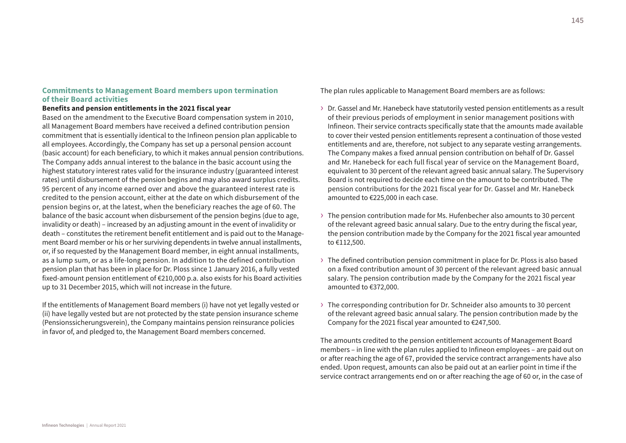## **Commitments to Management Board members upon termination of their Board activities**

## **Benefits and pension entitlements in the 2021 fiscal year**

Based on the amendment to the Executive Board compensation system in 2010, all Management Board members have received a defined contribution pension commitment that is essentially identical to the Infineon pension plan applicable to all employees. Accordingly, the Company has set up a personal pension account (basic account) for each beneficiary, to which it makes annual pension contributions. The Company adds annual interest to the balance in the basic account using the highest statutory interest rates valid for the insurance industry (guaranteed interest rates) until disbursement of the pension begins and may also award surplus credits. 95 percent of any income earned over and above the guaranteed interest rate is credited to the pension account, either at the date on which disbursement of the pension begins or, at the latest, when the beneficiary reaches the age of 60. The balance of the basic account when disbursement of the pension begins (due to age, invalidity or death) – increased by an adjusting amount in the event of invalidity or death – constitutes the retirement benefit entitlement and is paid out to the Management Board member or his or her surviving dependents in twelve annual installments, or, if so requested by the Management Board member, in eight annual installments, as a lump sum, or as a life-long pension. In addition to the defined contribution pension plan that has been in place for Dr. Ploss since 1 January 2016, a fully vested fixed-amount pension entitlement of €210,000 p.a. also exists for his Board activities up to 31 December 2015, which will not increase in the future.

If the entitlements of Management Board members (i) have not yet legally vested or (ii) have legally vested but are not protected by the state pension insurance scheme (Pensionssicherungsverein), the Company maintains pension reinsurance policies in favor of, and pledged to, the Management Board members concerned.

The plan rules applicable to Management Board members are as follows:

- › Dr. Gassel and Mr. Hanebeck have statutorily vested pension entitlements as a result of their previous periods of employment in senior management positions with Infineon. Their service contracts specifically state that the amounts made available to cover their vested pension entitlements represent a continuation of those vested entitlements and are, therefore, not subject to any separate vesting arrangements. The Company makes a fixed annual pension contribution on behalf of Dr. Gassel and Mr. Hanebeck for each full fiscal year of service on the Management Board, equivalent to 30 percent of the relevant agreed basic annual salary. The Supervisory Board is not required to decide each time on the amount to be contributed. The pension contributions for the 2021 fiscal year for Dr. Gassel and Mr. Hanebeck amounted to €225,000 in each case.
- › The pension contribution made for Ms. Hufenbecher also amounts to 30 percent of the relevant agreed basic annual salary. Due to the entry during the fiscal year, the pension contribution made by the Company for the 2021 fiscal year amounted to €112,500.
- $\rightarrow$  The defined contribution pension commitment in place for Dr. Ploss is also based on a fixed contribution amount of 30 percent of the relevant agreed basic annual salary. The pension contribution made by the Company for the 2021 fiscal year amounted to €372,000.
- › The corresponding contribution for Dr. Schneider also amounts to 30 percent of the relevant agreed basic annual salary. The pension contribution made by the Company for the 2021 fiscal year amounted to €247,500.

The amounts credited to the pension entitlement accounts of Management Board members – in line with the plan rules applied to Infineon employees – are paid out on or after reaching the age of 67, provided the service contract arrangements have also ended. Upon request, amounts can also be paid out at an earlier point in time if the service contract arrangements end on or after reaching the age of 60 or, in the case of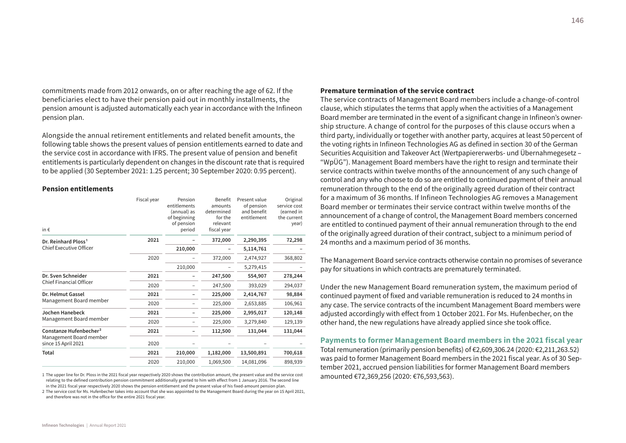commitments made from 2012 onwards, on or after reaching the age of 62. If the beneficiaries elect to have their pension paid out in monthly installments, the pension amount is adjusted automatically each year in accordance with the Infineon pension plan.

Alongside the annual retirement entitlements and related benefit amounts, the following table shows the present values of pension entitlements earned to date and the service cost in accordance with IFRS. The present value of pension and benefit entitlements is particularly dependent on changes in the discount rate that is required to be applied (30 September 2021: 1.25 percent; 30 September 2020: 0.95 percent).

#### **Pension entitlements**

| in $\epsilon$                                  | Fiscal year | Pension<br>entitlements<br>(annual) as<br>of beginning<br>of pension<br>period | Benefit<br>amounts<br>determined<br>for the<br>relevant<br>fiscal year | Present value<br>of pension<br>and benefit<br>entitlement | Original<br>service cost<br>(earned in<br>the current<br>year) |
|------------------------------------------------|-------------|--------------------------------------------------------------------------------|------------------------------------------------------------------------|-----------------------------------------------------------|----------------------------------------------------------------|
| Dr. Reinhard Ploss <sup>1</sup>                | 2021        |                                                                                | 372,000                                                                | 2,290,395                                                 | 72,298                                                         |
| <b>Chief Executive Officer</b>                 |             | 210,000                                                                        |                                                                        | 5,114,761                                                 |                                                                |
|                                                | 2020        |                                                                                | 372,000                                                                | 2,474,927                                                 | 368,802                                                        |
|                                                |             | 210,000                                                                        |                                                                        | 5,279,415                                                 |                                                                |
| Dr. Sven Schneider                             | 2021        |                                                                                | 247,500                                                                | 554,907                                                   | 278,244                                                        |
| <b>Chief Financial Officer</b>                 | 2020        |                                                                                | 247,500                                                                | 393,029                                                   | 294,037                                                        |
| Dr. Helmut Gassel                              | 2021        |                                                                                | 225,000                                                                | 2,414,767                                                 | 98,884                                                         |
| Management Board member                        | 2020        |                                                                                | 225,000                                                                | 2,653,885                                                 | 106,961                                                        |
| Jochen Hanebeck                                | 2021        |                                                                                | 225,000                                                                | 2,995,017                                                 | 120,148                                                        |
| Management Board member                        | 2020        |                                                                                | 225,000                                                                | 3,279,840                                                 | 129,139                                                        |
| Constanze Hufenbecher <sup>2</sup>             | 2021        |                                                                                | 112,500                                                                | 131,044                                                   | 131,044                                                        |
| Management Board member<br>since 15 April 2021 | 2020        |                                                                                |                                                                        |                                                           |                                                                |
| <b>Total</b>                                   | 2021        | 210,000                                                                        | 1,182,000                                                              | 13,500,891                                                | 700,618                                                        |
|                                                | 2020        | 210,000                                                                        | 1,069,500                                                              | 14,081,096                                                | 898,939                                                        |

1 The upper line for Dr. Ploss in the 2021 fiscal year respectively 2020 shows the contribution amount, the present value and the service cost relating to the defined contribution pension commitment additionally granted to him with effect from 1 January 2016. The second line in the 2021 fiscal year respectively 2020 shows the pension entitlement and the present value of his fixed-amount pension plan.

2 The service cost for Ms. Hufenbecher takes into account that she was appointed to the Management Board during the year on 15 April 2021, and therefore was not in the office for the entire 2021 fiscal year.

#### **Premature termination of the service contract**

The service contracts of Management Board members include a change-of-control clause, which stipulates the terms that apply when the activities of a Management Board member are terminated in the event of a significant change in Infineon's ownership structure. A change of control for the purposes of this clause occurs when a third party, individually or together with another party, acquires at least 50 percent of the voting rights in Infineon Technologies AG as defined in section 30 of the German Securities Acquisition and Takeover Act (Wertpapiererwerbs- und Übernahmegesetz – "WpÜG"). Management Board members have the right to resign and terminate their service contracts within twelve months of the announcement of any such change of control and any who choose to do so are entitled to continued payment of their annual remuneration through to the end of the originally agreed duration of their contract for a maximum of 36 months. If Infineon Technologies AG removes a Management Board member or terminates their service contract within twelve months of the announcement of a change of control, the Management Board members concerned are entitled to continued payment of their annual remuneration through to the end of the originally agreed duration of their contract, subject to a minimum period of 24 months and a maximum period of 36 months.

The Management Board service contracts otherwise contain no promises of severance pay for situations in which contracts are prematurely terminated.

Under the new Management Board remuneration system, the maximum period of continued payment of fixed and variable remuneration is reduced to 24 months in any case. The service contracts of the incumbent Management Board members were adjusted accordingly with effect from 1 October 2021. For Ms. Hufenbecher, on the other hand, the new regulations have already applied since she took office.

**Payments to former Management Board members in the 2021 fiscal year** Total remuneration (primarily pension benefits) of €2,609,306.24 (2020: €2,211,263.52) was paid to former Management Board members in the 2021 fiscal year. As of 30 September 2021, accrued pension liabilities for former Management Board members amounted €72,369,256 (2020: €76,593,563).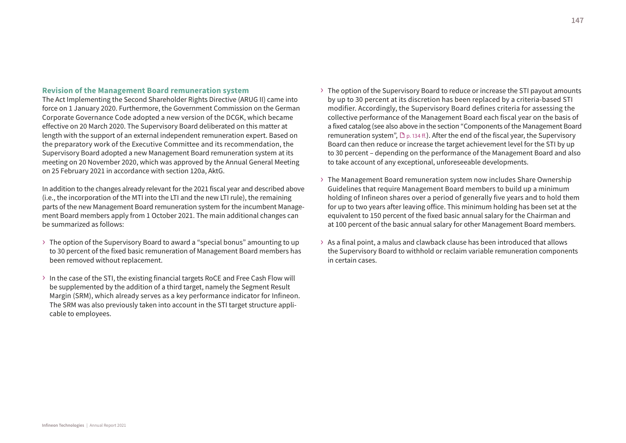#### **Revision of the Management Board remuneration system**

The Act Implementing the Second Shareholder Rights Directive (ARUG II) came into force on 1 January 2020. Furthermore, the Government Commission on the German Corporate Governance Code adopted a new version of the DCGK, which became effective on 20 March 2020. The Supervisory Board deliberated on this matter at length with the support of an external independent remuneration expert. Based on the preparatory work of the Executive Committee and its recommendation, the Supervisory Board adopted a new Management Board remuneration system at its meeting on 20 November 2020, which was approved by the Annual General Meeting on 25 February 2021 in accordance with section 120a, AktG.

In addition to the changes already relevant for the 2021 fiscal year and described above (i.e., the incorporation of the MTI into the LTI and the new LTI rule), the remaining parts of the new Management Board remuneration system for the incumbent Management Board members apply from 1 October 2021. The main additional changes can be summarized as follows:

- › The option of the Supervisory Board to award a "special bonus" amounting to up to 30 percent of the fixed basic remuneration of Management Board members has been removed without replacement.
- › In the case of the STI, the existing financial targets RoCE and Free Cash Flow will be supplemented by the addition of a third target, namely the Segment Result Margin (SRM), which already serves as a key performance indicator for Infineon. The SRM was also previously taken into account in the STI target structure applicable to employees.
- $\rightarrow$  The option of the Supervisory Board to reduce or increase the STI payout amounts by up to 30 percent at its discretion has been replaced by a criteria-based STI modifier. Accordingly, the Supervisory Board defines criteria for assessing the collective performance of the Management Board each fiscal year on the basis of a fixed catalog (see also above in the section "Components of the Management Board remuneration system",  $\mathbb{D}_{p. 134 \text{ ff.}}$ ). After the end of the fiscal year, the Supervisory Board can then reduce or increase the target achievement level for the STI by up to 30 percent – depending on the performance of the Management Board and also to take account of any exceptional, unforeseeable developments.
- › The Management Board remuneration system now includes Share Ownership Guidelines that require Management Board members to build up a minimum holding of Infineon shares over a period of generally five years and to hold them for up to two years after leaving office. This minimum holding has been set at the equivalent to 150 percent of the fixed basic annual salary for the Chairman and at 100 percent of the basic annual salary for other Management Board members.
- $\rightarrow$  As a final point, a malus and clawback clause has been introduced that allows the Supervisory Board to withhold or reclaim variable remuneration components in certain cases.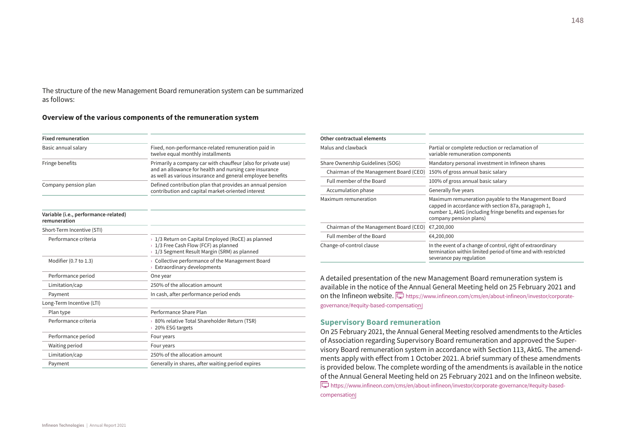The structure of the new Management Board remuneration system can be summarized as follows:

#### **Overview of the various components of the remuneration system**

| <b>Fixed remuneration</b>                            |                                                                                                                                                                                       |
|------------------------------------------------------|---------------------------------------------------------------------------------------------------------------------------------------------------------------------------------------|
| Basic annual salary                                  | Fixed, non-performance-related remuneration paid in<br>twelve equal monthly installments                                                                                              |
| Fringe benefits                                      | Primarily a company car with chauffeur (also for private use)<br>and an allowance for health and nursing care insurance<br>as well as various insurance and general employee benefits |
| Company pension plan                                 | Defined contribution plan that provides an annual pension<br>contribution and capital market-oriented interest                                                                        |
| Variable (i.e., performance-related)<br>remuneration |                                                                                                                                                                                       |
| Short-Term Incentive (STI)                           |                                                                                                                                                                                       |
| Performance criteria                                 | $\rightarrow$ 1/3 Return on Capital Employed (RoCE) as planned<br>> 1/3 Free Cash Flow (FCF) as planned<br>$\rightarrow$ 1/3 Segment Result Margin (SRM) as planned                   |
| Modifier (0.7 to 1.3)                                | $\rightarrow$ Collective performance of the Management Board<br><b>Extraordinary developments</b>                                                                                     |
| Performance period                                   | One year                                                                                                                                                                              |
| Limitation/cap                                       | 250% of the allocation amount                                                                                                                                                         |
| Payment                                              | In cash, after performance period ends                                                                                                                                                |
| Long-Term Incentive (LTI)                            |                                                                                                                                                                                       |
| Plan type                                            | Performance Share Plan                                                                                                                                                                |
| Performance criteria                                 | › 80% relative Total Shareholder Return (TSR)<br>> 20% ESG targets                                                                                                                    |
| Performance period                                   | Four years                                                                                                                                                                            |
| Waiting period                                       | Four years                                                                                                                                                                            |
| Limitation/cap                                       | 250% of the allocation amount                                                                                                                                                         |
| Payment                                              | Generally in shares, after waiting period expires                                                                                                                                     |

| Other contractual elements             |                                                                                                                                                                                                     |
|----------------------------------------|-----------------------------------------------------------------------------------------------------------------------------------------------------------------------------------------------------|
| Malus and clawback                     | Partial or complete reduction or reclamation of<br>variable remuneration components                                                                                                                 |
| Share Ownership Guidelines (SOG)       | Mandatory personal investment in Infineon shares                                                                                                                                                    |
| Chairman of the Management Board (CEO) | 150% of gross annual basic salary                                                                                                                                                                   |
| Full member of the Board               | 100% of gross annual basic salary                                                                                                                                                                   |
| Accumulation phase                     | Generally five years                                                                                                                                                                                |
| Maximum remuneration                   | Maximum remuneration payable to the Management Board<br>capped in accordance with section 87a, paragraph 1,<br>number 1, AktG (including fringe benefits and expenses for<br>company pension plans) |
| Chairman of the Management Board (CEO) | €7,200,000                                                                                                                                                                                          |
| Full member of the Board               | €4,200,000                                                                                                                                                                                          |
| Change-of-control clause               | In the event of a change of control, right of extraordinary<br>termination within limited period of time and with restricted<br>severance pay regulation                                            |
|                                        |                                                                                                                                                                                                     |

A detailed presentation of the new Management Board remuneration system is available in the notice of the Annual General Meeting held on 25 February 2021 and on the Infineon website.  $\Box$  [https://www.infineon.com/cms/en/about-infineon/investor/corporate](https://www.infineon.com/cms/en/about-infineon/investor/corporate-governance/#equity-based-compensation)[governance/#equity-based-compensation](https://www.infineon.com/cms/en/about-infineon/investor/corporate-governance/#equity-based-compensation)

## **Supervisory Board remuneration**

On 25 February 2021, the Annual General Meeting resolved amendments to the Articles of Association regarding Supervisory Board remuneration and approved the Supervisory Board remuneration system in accordance with Section 113, AktG. The amendments apply with effect from 1 October 2021. A brief summary of these amendments is provided below. The complete wording of the amendments is available in the notice of the Annual General Meeting held on 25 February 2021 and on the Infineon website. [https://www.infineon.com/cms/en/about-infineon/investor/corporate-governance/#equity-based](https://www.infineon.com/cms/en/about-infineon/investor/corporate-governance/#equity-based-compensation)[compensation](https://www.infineon.com/cms/en/about-infineon/investor/corporate-governance/#equity-based-compensation)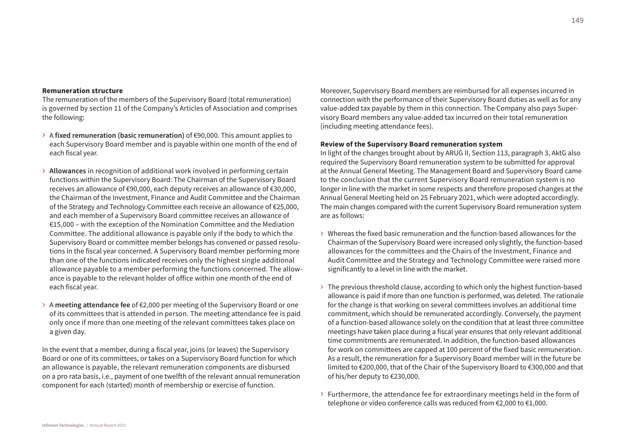#### **Remuneration structure**

The remuneration of the members of the Supervisory Board (total remuneration) is governed by section 11 of the Company's Articles of Association and comprises the following:

- › <sup>A</sup>**fixed remuneration (basic remuneration)** of €90,000. This amount applies to each Supervisory Board member and is payable within one month of the end of each fiscal year.
- › **Allowances** in recognition of additional work involved in performing certain functions within the Supervisory Board: The Chairman of the Supervisory Board receives an allowance of €90,000, each deputy receives an allowance of €30,000, the Chairman of the Investment, Finance and Audit Committee and the Chairman of the Strategy and Technology Committee each receive an allowance of €25,000, and each member of a Supervisory Board committee receives an allowance of €15,000 – with the exception of the Nomination Committee and the Mediation Committee. The additional allowance is payable only if the body to which the Supervisory Board or committee member belongs has convened or passed resolutions in the fiscal year concerned. A Supervisory Board member performing more than one of the functions indicated receives only the highest single additional allowance payable to a member performing the functions concerned. The allowance is payable to the relevant holder of office within one month of the end of each fiscal year.
- › <sup>A</sup>**meeting attendance fee** of €2,000 per meeting of the Supervisory Board or one of its committees that is attended in person. The meeting attendance fee is paid only once if more than one meeting of the relevant committees takes place on a given day.

In the event that a member, during a fiscal year, joins (or leaves) the Supervisory Board or one of its committees, or takes on a Supervisory Board function for which an allowance is payable, the relevant remuneration components are disbursed on a pro rata basis, i.e., payment of one twelfth of the relevant annual remuneration component for each (started) month of membership or exercise of function.

Moreover, Supervisory Board members are reimbursed for all expenses incurred in connection with the performance of their Supervisory Board duties as well as for any value-added tax payable by them in this connection. The Company also pays Supervisory Board members any value-added tax incurred on their total remuneration (including meeting attendance fees).

## **Review of the Supervisory Board remuneration system**

In light of the changes brought about by ARUG II, Section 113, paragraph 3, AktG also required the Supervisory Board remuneration system to be submitted for approval at the Annual General Meeting. The Management Board and Supervisory Board came to the conclusion that the current Supervisory Board remuneration system is no longer in line with the market in some respects and therefore proposed changes at the Annual General Meeting held on 25 February 2021, which were adopted accordingly. The main changes compared with the current Supervisory Board remuneration system are as follows:

- $\rightarrow$  Whereas the fixed basic remuneration and the function-based allowances for the Chairman of the Supervisory Board were increased only slightly, the function-based allowances for the committees and the Chairs of the Investment, Finance and Audit Committee and the Strategy and Technology Committee were raised more significantly to a level in line with the market.
- $\rightarrow$  The previous threshold clause, according to which only the highest function-based allowance is paid if more than one function is performed, was deleted. The rationale for the change is that working on several committees involves an additional time commitment, which should be remunerated accordingly. Conversely, the payment of a function-based allowance solely on the condition that at least three committee meetings have taken place during a fiscal year ensures that only relevant additional time commitments are remunerated. In addition, the function-based allowances for work on committees are capped at 100 percent of the fixed basic remuneration. As a result, the remuneration for a Supervisory Board member will in the future be limited to €200,000, that of the Chair of the Supervisory Board to €300,000 and that of his/her deputy to €230,000.
- $\rightarrow$  Furthermore, the attendance fee for extraordinary meetings held in the form of telephone or video conference calls was reduced from €2,000 to €1,000.